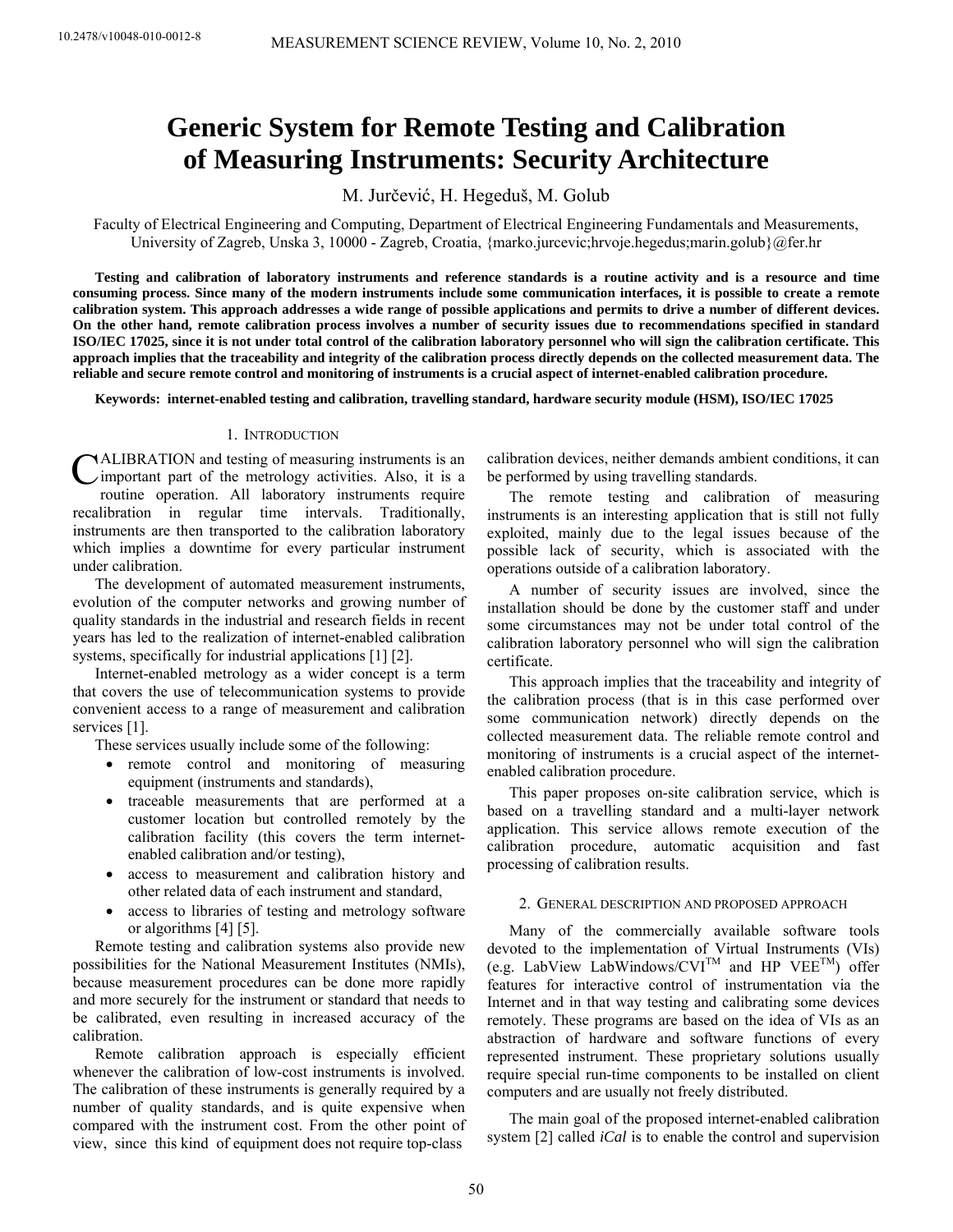# **Generic System for Remote Testing and Calibration of Measuring Instruments: Security Architecture**

M. Jurčević, H. Hegeduš, M. Golub

Faculty of Electrical Engineering and Computing, Department of Electrical Engineering Fundamentals and Measurements, University of Zagreb, Unska 3, 10000 - Zagreb, Croatia, {marko.jurcevic;hrvoje.hegedus;marin.golub}@fer.hr

**Testing and calibration of laboratory instruments and reference standards is a routine activity and is a resource and time consuming process. Since many of the modern instruments include some communication interfaces, it is possible to create a remote calibration system. This approach addresses a wide range of possible applications and permits to drive a number of different devices. On the other hand, remote calibration process involves a number of security issues due to recommendations specified in standard ISO/IEC 17025, since it is not under total control of the calibration laboratory personnel who will sign the calibration certificate. This approach implies that the traceability and integrity of the calibration process directly depends on the collected measurement data. The reliable and secure remote control and monitoring of instruments is a crucial aspect of internet-enabled calibration procedure.**

**Keywords: internet-enabled testing and calibration, travelling standard, hardware security module (HSM), ISO/IEC 17025** 

### 1. INTRODUCTION

CALIBRATION and testing of measuring instruments is an important part of the metrology activities. Also, it is a im portant part of the metrology activities. Also, it is a ro utine operation. All laboratory instruments require recalibration in regular time intervals. Traditionally, instruments are then transported to the calibration laboratory which implies a downtime for every particular instrument under calibration.

The development of automated measurement instruments, evolution of the computer networks and growing number of quality standards in the industrial and research fields in recent years has led to the realization of internet-enabled calibration systems, specifically for industrial applications [1] [2].

Internet-enabled metrology as a wider concept is a term that covers the use of telecommunication systems to provide convenient access to a range of measurement and calibration services [1].

These services usually include some of the following:

- remote control and monitoring of measuring equipment (instruments and standards),
- traceable measurements that are performed at a customer location but controlled remotely by the calibration facility (this covers the term internetenabled calibration and/or testing),
- access to measurement and calibration history and other related data of each instrument and standard,
- access to libraries of testing and metrology software or algorithms [4] [5].

Remote testing and calibration systems also provide new possibilities for the National Measurement Institutes (NMIs), because measurement procedures can be done more rapidly and more securely for the instrument or standard that needs to be calibrated, even resulting in increased accuracy of the calibration.

Remote calibration approach is especially efficient whenever the calibration of low-cost instruments is involved. The calibration of these instruments is generally required by a number of quality standards, and is quite expensive when compared with the instrument cost. From the other point of view, since this kind of equipment does not require top-class

calibration devices, neither demands ambient conditions, it can be performed by using travelling standards.

The remote testing and calibration of measuring instruments is an interesting application that is still not fully exploited, mainly due to the legal issues because of the possible lack of security, which is associated with the operations outside of a calibration laboratory.

A number of security issues are involved, since the installation should be done by the customer staff and under some circumstances may not be under total control of the calibration laboratory personnel who will sign the calibration certificate.

This approach implies that the traceability and integrity of the calibration process (that is in this case performed over some communication network) directly depends on the collected measurement data. The reliable remote control and monitoring of instruments is a crucial aspect of the internetenabled calibration procedure.

This paper proposes on-site calibration service, which is based on a travelling standard and a multi-layer network application. This service allows remote execution of the calibration procedure, automatic acquisition and fast processing of calibration results.

### 2. GENERAL DESCRIPTION AND PROPOSED APPROACH

Many of the commercially available software tools devoted to the implementation of Virtual Instruments (VIs) (e.g. LabView LabWindows/CVI<sup>TM</sup> and HP VEE<sup>TM</sup>) offer features for interactive control of instrumentation via the Internet and in that way testing and calibrating some devices remotely. These programs are based on the idea of VIs as an abstraction of hardware and software functions of every represented instrument. These proprietary solutions usually require special run-time components to be installed on client computers and are usually not freely distributed.

The main goal of the proposed internet-enabled calibration system [2] called *iCal* is to enable the control and supervision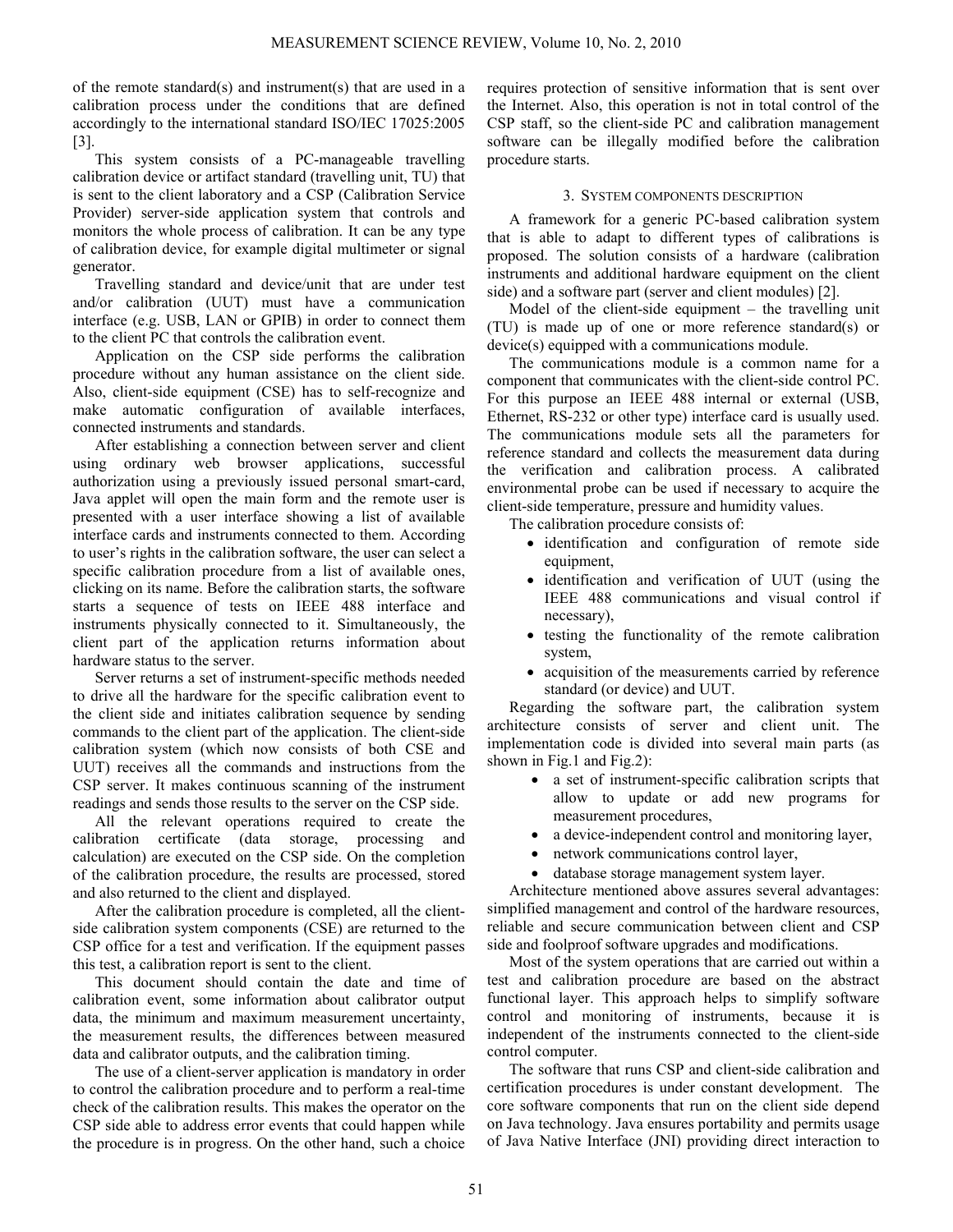of the remote standard(s) and instrument(s) that are used in a calibration process under the conditions that are defined accordingly to the international standard ISO/IEC 17025:2005 [3].

This system consists of a PC-manageable travelling calibration device or artifact standard (travelling unit, TU) that is sent to the client laboratory and a CSP (Calibration Service Provider) server-side application system that controls and monitors the whole process of calibration. It can be any type of calibration device, for example digital multimeter or signal generator.

Travelling standard and device/unit that are under test and/or calibration (UUT) must have a communication interface (e.g. USB, LAN or GPIB) in order to connect them to the client PC that controls the calibration event.

Application on the CSP side performs the calibration procedure without any human assistance on the client side. Also, client-side equipment (CSE) has to self-recognize and make automatic configuration of available interfaces, connected instruments and standards.

After establishing a connection between server and client using ordinary web browser applications, successful authorization using a previously issued personal smart-card, Java applet will open the main form and the remote user is presented with a user interface showing a list of available interface cards and instruments connected to them. According to user's rights in the calibration software, the user can select a specific calibration procedure from a list of available ones, clicking on its name. Before the calibration starts, the software starts a sequence of tests on IEEE 488 interface and instruments physically connected to it. Simultaneously, the client part of the application returns information about hardware status to the server.

Server returns a set of instrument-specific methods needed to drive all the hardware for the specific calibration event to the client side and initiates calibration sequence by sending commands to the client part of the application. The client-side calibration system (which now consists of both CSE and UUT) receives all the commands and instructions from the CSP server. It makes continuous scanning of the instrument readings and sends those results to the server on the CSP side.

All the relevant operations required to create the calibration certificate (data storage, processing and calculation) are executed on the CSP side. On the completion of the calibration procedure, the results are processed, stored and also returned to the client and displayed.

After the calibration procedure is completed, all the clientside calibration system components (CSE) are returned to the CSP office for a test and verification. If the equipment passes this test, a calibration report is sent to the client.

This document should contain the date and time of calibration event, some information about calibrator output data, the minimum and maximum measurement uncertainty, the measurement results, the differences between measured data and calibrator outputs, and the calibration timing.

The use of a client-server application is mandatory in order to control the calibration procedure and to perform a real-time check of the calibration results. This makes the operator on the CSP side able to address error events that could happen while the procedure is in progress. On the other hand, such a choice

requires protection of sensitive information that is sent over the Internet. Also, this operation is not in total control of the CSP staff, so the client-side PC and calibration management software can be illegally modified before the calibration procedure starts.

## 3. SYSTEM COMPONENTS DESCRIPTION

A framework for a generic PC-based calibration system that is able to adapt to different types of calibrations is proposed. The solution consists of a hardware (calibration instruments and additional hardware equipment on the client side) and a software part (server and client modules) [2].

Model of the client-side equipment – the travelling unit (TU) is made up of one or more reference standard(s) or device(s) equipped with a communications module.

The communications module is a common name for a component that communicates with the client-side control PC. For this purpose an IEEE 488 internal or external (USB, Ethernet, RS-232 or other type) interface card is usually used. The communications module sets all the parameters for reference standard and collects the measurement data during the verification and calibration process. A calibrated environmental probe can be used if necessary to acquire the client-side temperature, pressure and humidity values.

The calibration procedure consists of:

- identification and configuration of remote side equipment,
- identification and verification of UUT (using the IEEE 488 communications and visual control if necessary),
- testing the functionality of the remote calibration system,
- acquisition of the measurements carried by reference standard (or device) and UUT.

Regarding the software part, the calibration system architecture consists of server and client unit. The implementation code is divided into several main parts (as shown in Fig.1 and Fig.2):

- a set of instrument-specific calibration scripts that allow to update or add new programs for measurement procedures,
- a device-independent control and monitoring layer,
- network communications control layer,
- database storage management system layer.

Architecture mentioned above assures several advantages: simplified management and control of the hardware resources, reliable and secure communication between client and CSP side and foolproof software upgrades and modifications.

Most of the system operations that are carried out within a test and calibration procedure are based on the abstract functional layer. This approach helps to simplify software control and monitoring of instruments, because it is independent of the instruments connected to the client-side control computer.

The software that runs CSP and client-side calibration and certification procedures is under constant development. The core software components that run on the client side depend on Java technology. Java ensures portability and permits usage of Java Native Interface (JNI) providing direct interaction to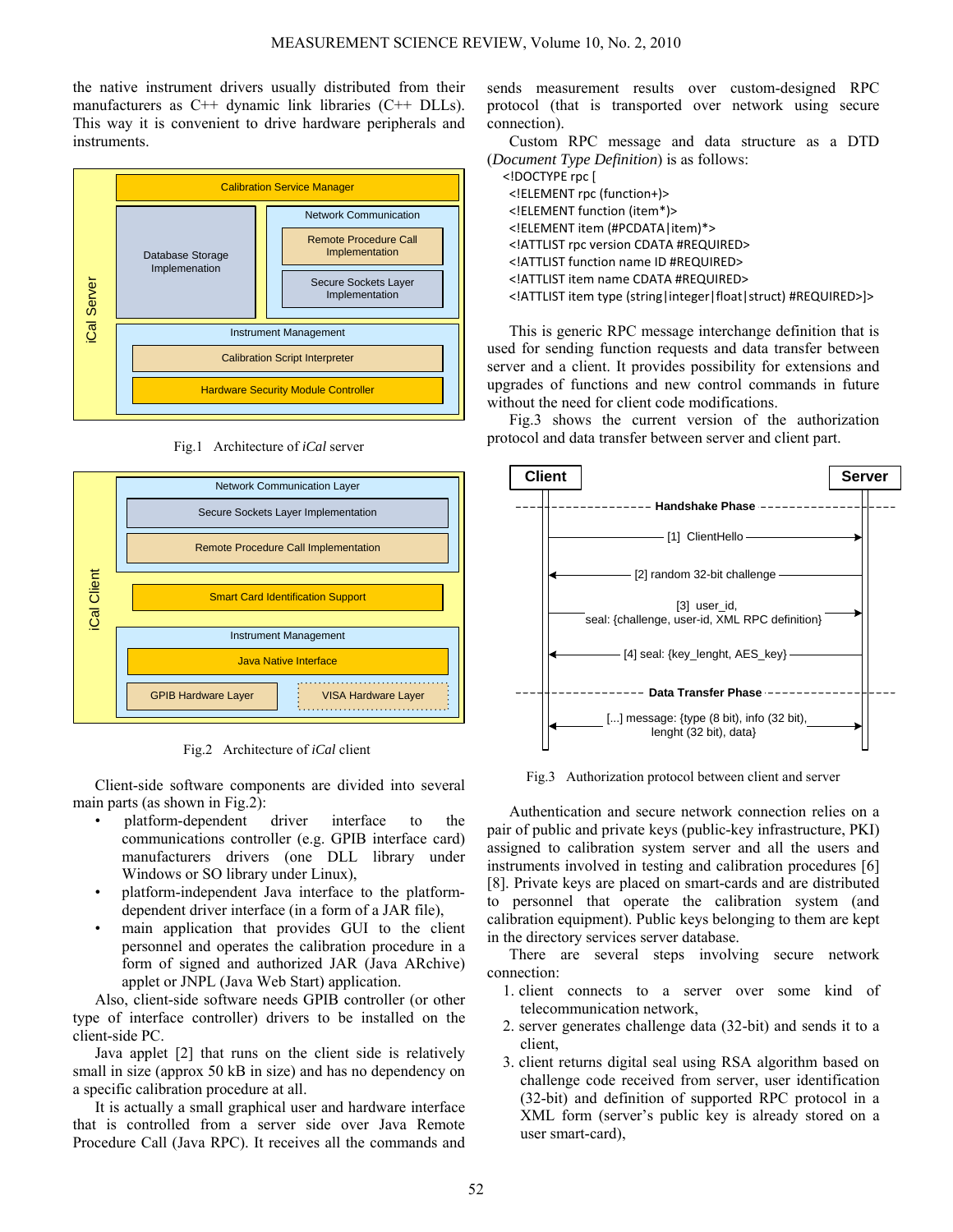the native instrument drivers usually distributed from their manufacturers as C++ dynamic link libraries (C++ DLLs). This way it is convenient to drive hardware peripherals and instruments.



Fig.1 Architecture of *iCal* server



Fig.2 Architecture of *iCal* client

Client-side software components are divided into several main parts (as shown in Fig.2):

- platform-dependent driver interface to the communications controller (e.g. GPIB interface card) manufacturers drivers (one DLL library under Windows or SO library under Linux),
- platform-independent Java interface to the platformdependent driver interface (in a form of a JAR file),
- main application that provides GUI to the client personnel and operates the calibration procedure in a form of signed and authorized JAR (Java ARchive) applet or JNPL (Java Web Start) application.

Also, client-side software needs GPIB controller (or other type of interface controller) drivers to be installed on the client-side PC.

Java applet [2] that runs on the client side is relatively small in size (approx 50 kB in size) and has no dependency on a specific calibration procedure at all.

It is actually a small graphical user and hardware interface that is controlled from a server side over Java Remote Procedure Call (Java RPC). It receives all the commands and sends measurement results over custom-designed RPC protocol (that is transported over network using secure connection).

Custom RPC message and data structure as a DTD (*Document Type Definition*) is as follows:

<!DOCTYPE rpc [ <!ELEMENT rpc (function+)> <!ELEMENT function (item\*)> <!ELEMENT item (#PCDATA|item)\*> <!ATTLIST rpc version CDATA #REQUIRED> <!ATTLIST function name ID #REQUIRED> <!ATTLIST item name CDATA #REQUIRED> <!ATTLIST item type (string|integer|float|struct) #REQUIRED>]>

This is generic RPC message interchange definition that is used for sending function requests and data transfer between server and a client. It provides possibility for extensions and upgrades of functions and new control commands in future without the need for client code modifications.

Fig.3 shows the current version of the authorization protocol and data transfer between server and client part.



Fig.3 Authorization protocol between client and server

Authentication and secure network connection relies on a pair of public and private keys (public-key infrastructure, PKI) assigned to calibration system server and all the users and instruments involved in testing and calibration procedures [6] [8]. Private keys are placed on smart-cards and are distributed to personnel that operate the calibration system (and calibration equipment). Public keys belonging to them are kept in the directory services server database.

There are several steps involving secure network connection:

- 1. client connects to a server over some kind of telecommunication network,
- 2. server generates challenge data (32-bit) and sends it to a client,
- 3. client returns digital seal using RSA algorithm based on challenge code received from server, user identification (32-bit) and definition of supported RPC protocol in a XML form (server's public key is already stored on a user smart-card),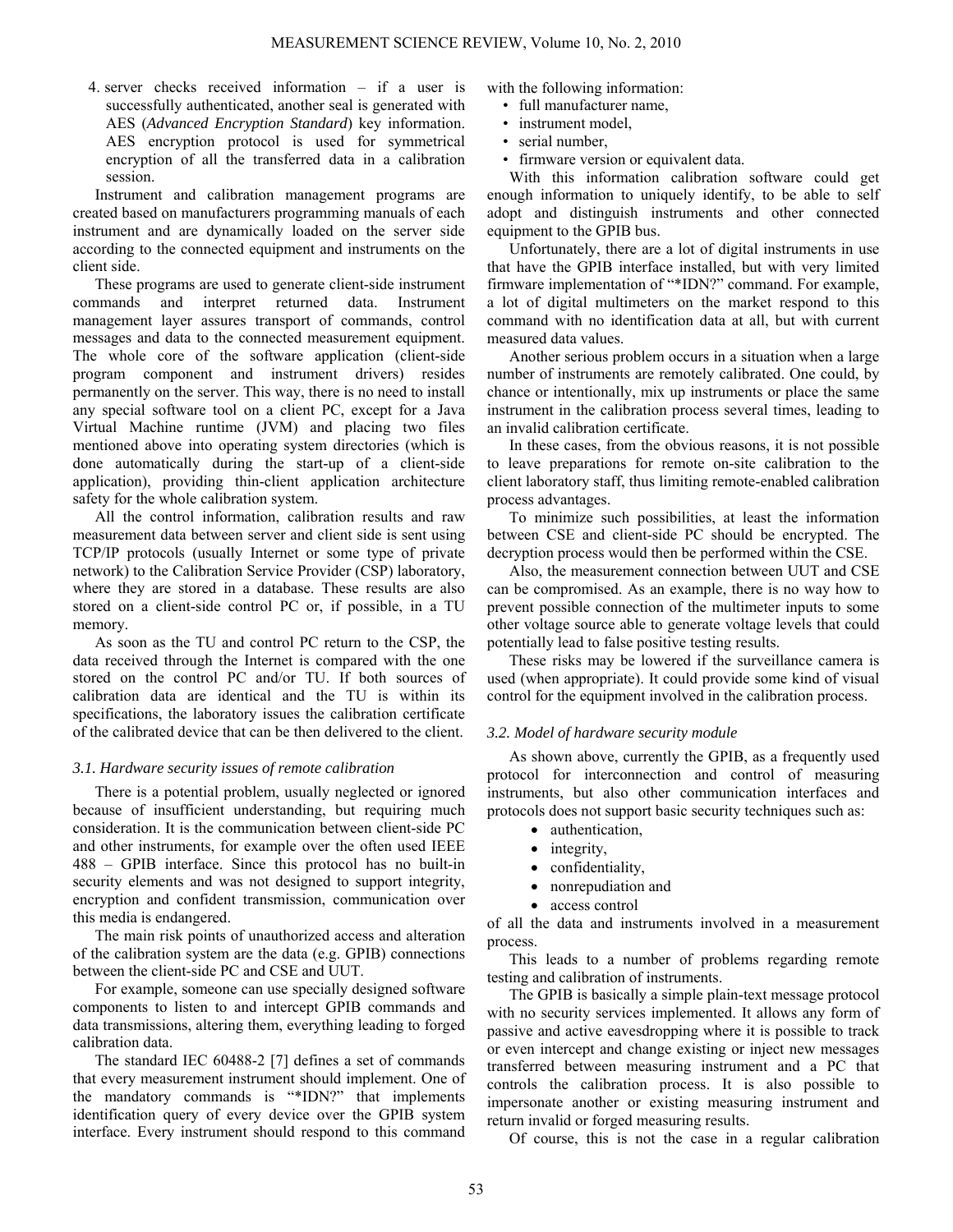4. server checks received information – if a user is successfully authenticated, another seal is generated with AES (*Advanced Encryption Standard*) key information. AES encryption protocol is used for symmetrical encryption of all the transferred data in a calibration session.

Instrument and calibration management programs are created based on manufacturers programming manuals of each instrument and are dynamically loaded on the server side according to the connected equipment and instruments on the client side.

These programs are used to generate client-side instrument commands and interpret returned data. Instrument management layer assures transport of commands, control messages and data to the connected measurement equipment. The whole core of the software application (client-side program component and instrument drivers) resides permanently on the server. This way, there is no need to install any special software tool on a client PC, except for a Java Virtual Machine runtime (JVM) and placing two files mentioned above into operating system directories (which is done automatically during the start-up of a client-side application), providing thin-client application architecture safety for the whole calibration system.

All the control information, calibration results and raw measurement data between server and client side is sent using TCP/IP protocols (usually Internet or some type of private network) to the Calibration Service Provider (CSP) laboratory, where they are stored in a database. These results are also stored on a client-side control PC or, if possible, in a TU memory.

As soon as the TU and control PC return to the CSP, the data received through the Internet is compared with the one stored on the control PC and/or TU. If both sources of calibration data are identical and the TU is within its specifications, the laboratory issues the calibration certificate of the calibrated device that can be then delivered to the client.

#### *3.1. Hardware security issues of remote calibration*

There is a potential problem, usually neglected or ignored because of insufficient understanding, but requiring much consideration. It is the communication between client-side PC and other instruments, for example over the often used IEEE 488 – GPIB interface. Since this protocol has no built-in security elements and was not designed to support integrity, encryption and confident transmission, communication over this media is endangered.

The main risk points of unauthorized access and alteration of the calibration system are the data (e.g. GPIB) connections between the client-side PC and CSE and UUT.

For example, someone can use specially designed software components to listen to and intercept GPIB commands and data transmissions, altering them, everything leading to forged calibration data.

The standard IEC 60488-2 [7] defines a set of commands that every measurement instrument should implement. One of the mandatory commands is "\*IDN?" that implements identification query of every device over the GPIB system interface. Every instrument should respond to this command with the following information:

- full manufacturer name,
- instrument model.
- serial number,
- firmware version or equivalent data.

With this information calibration software could get enough information to uniquely identify, to be able to self adopt and distinguish instruments and other connected equipment to the GPIB bus.

Unfortunately, there are a lot of digital instruments in use that have the GPIB interface installed, but with very limited firmware implementation of "\*IDN?" command. For example, a lot of digital multimeters on the market respond to this command with no identification data at all, but with current measured data values.

Another serious problem occurs in a situation when a large number of instruments are remotely calibrated. One could, by chance or intentionally, mix up instruments or place the same instrument in the calibration process several times, leading to an invalid calibration certificate.

In these cases, from the obvious reasons, it is not possible to leave preparations for remote on-site calibration to the client laboratory staff, thus limiting remote-enabled calibration process advantages.

To minimize such possibilities, at least the information between CSE and client-side PC should be encrypted. The decryption process would then be performed within the CSE.

Also, the measurement connection between UUT and CSE can be compromised. As an example, there is no way how to prevent possible connection of the multimeter inputs to some other voltage source able to generate voltage levels that could potentially lead to false positive testing results.

These risks may be lowered if the surveillance camera is used (when appropriate). It could provide some kind of visual control for the equipment involved in the calibration process.

#### *3.2. Model of hardware security module*

As shown above, currently the GPIB, as a frequently used protocol for interconnection and control of measuring instruments, but also other communication interfaces and protocols does not support basic security techniques such as:

- authentication,
- integrity,
- confidentiality,
- nonrepudiation and
- access control

of all the data and instruments involved in a measurement process.

This leads to a number of problems regarding remote testing and calibration of instruments.

The GPIB is basically a simple plain-text message protocol with no security services implemented. It allows any form of passive and active eavesdropping where it is possible to track or even intercept and change existing or inject new messages transferred between measuring instrument and a PC that controls the calibration process. It is also possible to impersonate another or existing measuring instrument and return invalid or forged measuring results.

Of course, this is not the case in a regular calibration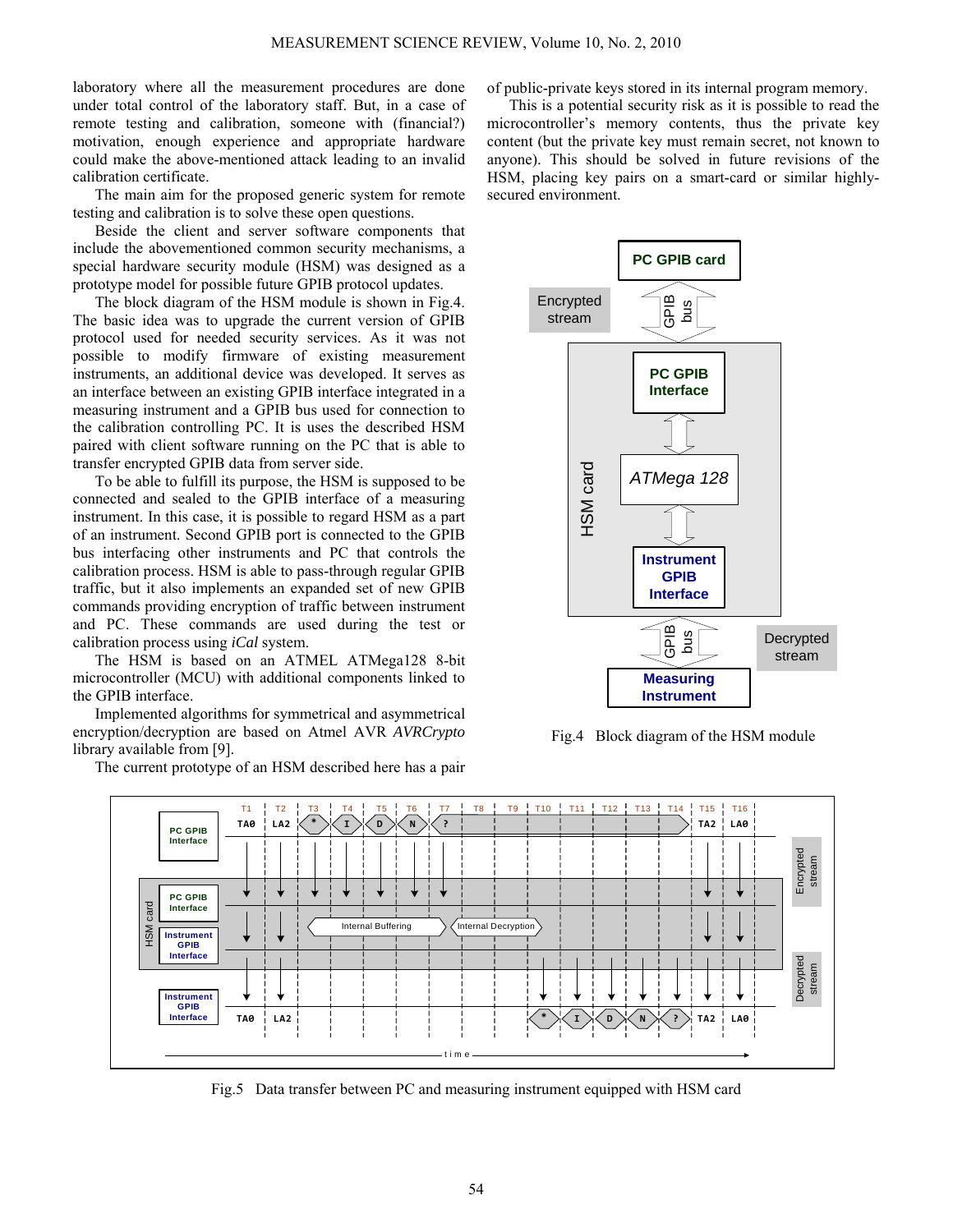laboratory where all the measurement procedures are done under total control of the laboratory staff. But, in a case of remote testing and calibration, someone with (financial?) motivation, enough experience and appropriate hardware could make the above-mentioned attack leading to an invalid calibration certificate.

The main aim for the proposed generic system for remote testing and calibration is to solve these open questions.

Beside the client and server software components that include the abovementioned common security mechanisms, a special hardware security module (HSM) was designed as a prototype model for possible future GPIB protocol updates.

The block diagram of the HSM module is shown in Fig.4. The basic idea was to upgrade the current version of GPIB protocol used for needed security services. As it was not possible to modify firmware of existing measurement instruments, an additional device was developed. It serves as an interface between an existing GPIB interface integrated in a measuring instrument and a GPIB bus used for connection to the calibration controlling PC. It is uses the described HSM paired with client software running on the PC that is able to transfer encrypted GPIB data from server side.

To be able to fulfill its purpose, the HSM is supposed to be connected and sealed to the GPIB interface of a measuring instrument. In this case, it is possible to regard HSM as a part of an instrument. Second GPIB port is connected to the GPIB bus interfacing other instruments and PC that controls the calibration process. HSM is able to pass-through regular GPIB traffic, but it also implements an expanded set of new GPIB commands providing encryption of traffic between instrument and PC. These commands are used during the test or calibration process using *iCal* system.

The HSM is based on an ATMEL ATMega128 8-bit microcontroller (MCU) with additional components linked to the GPIB interface.

Implemented algorithms for symmetrical and asymmetrical encryption/decryption are based on Atmel AVR *AVRCrypto* library available from [9].

The current prototype of an HSM described here has a pair

of public-private keys stored in its internal program memory.

This is a potential security risk as it is possible to read the microcontroller's memory contents, thus the private key content (but the private key must remain secret, not known to anyone). This should be solved in future revisions of the HSM, placing key pairs on a smart-card or similar highlysecured environment.



Fig.4 Block diagram of the HSM module



Fig.5 Data transfer between PC and measuring instrument equipped with HSM card